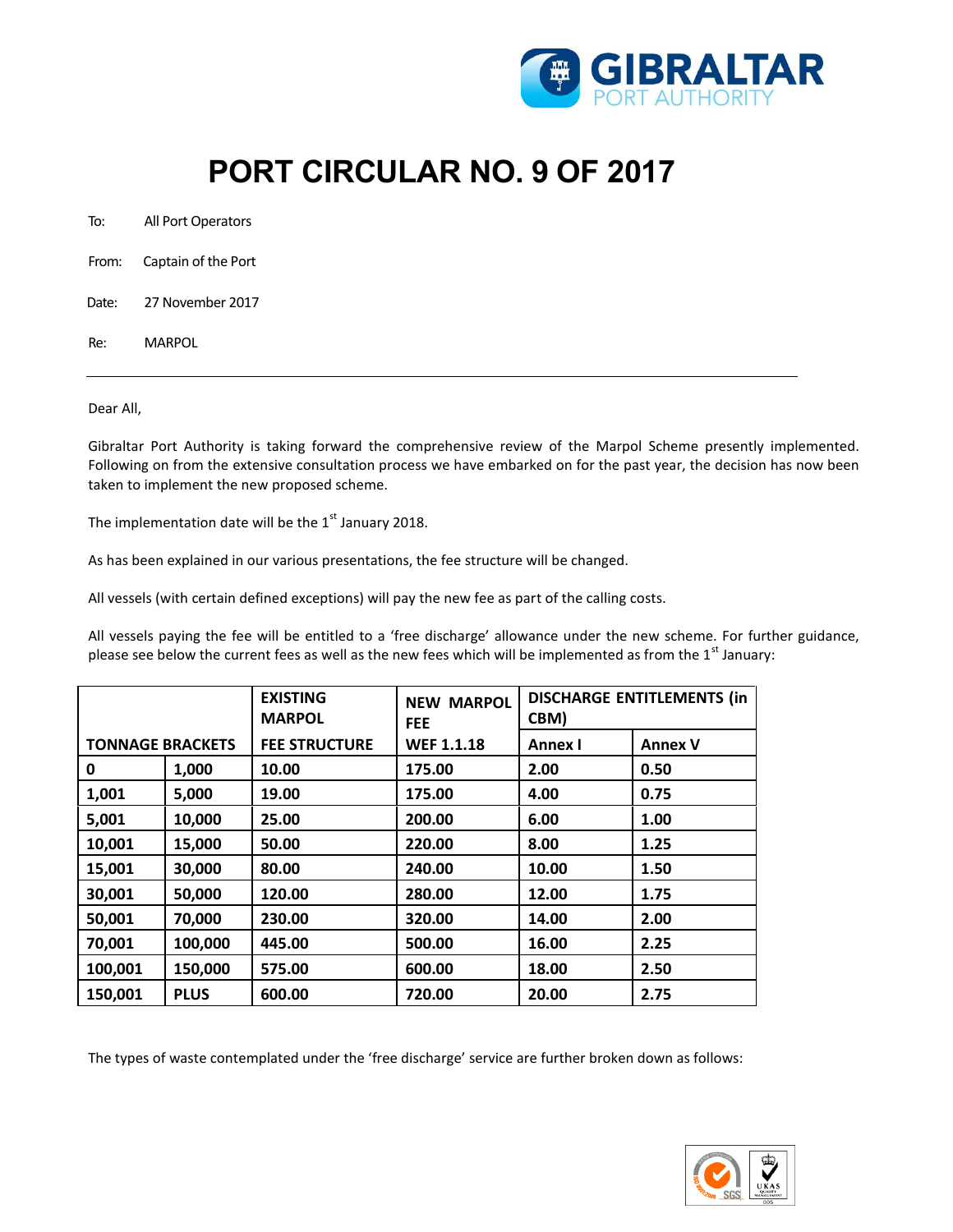

## **PORT CIRCULAR NO. 9 OF 2017**

To: All Port Operators

From: Captain of the Port

Date: 27 November 2017

Re: MARPOL

## Dear All,

Gibraltar Port Authority is taking forward the comprehensive review of the Marpol Scheme presently implemented. Following on from the extensive consultation process we have embarked on for the past year, the decision has now been taken to implement the new proposed scheme.

The implementation date will be the  $1<sup>st</sup>$  January 2018.

As has been explained in our various presentations, the fee structure will be changed.

All vessels (with certain defined exceptions) will pay the new fee as part of the calling costs.

All vessels paying the fee will be entitled to a 'free discharge' allowance under the new scheme. For further guidance, please see below the current fees as well as the new fees which will be implemented as from the  $1^{st}$  January:

|                         |             | <b>EXISTING</b><br><b>MARPOL</b> | <b>NEW MARPOL</b><br><b>FEE</b> | <b>DISCHARGE ENTITLEMENTS (in</b><br>CBM) |                |
|-------------------------|-------------|----------------------------------|---------------------------------|-------------------------------------------|----------------|
| <b>TONNAGE BRACKETS</b> |             | <b>FEE STRUCTURE</b>             | <b>WEF 1.1.18</b>               | Annex I                                   | <b>Annex V</b> |
| 0                       | 1,000       | 10.00                            | 175.00                          | 2.00                                      | 0.50           |
| 1,001                   | 5,000       | 19.00                            | 175.00                          | 4.00                                      | 0.75           |
| 5,001                   | 10,000      | 25.00                            | 200.00                          | 6.00                                      | 1.00           |
| 10,001                  | 15,000      | 50.00                            | 220.00                          | 8.00                                      | 1.25           |
| 15,001                  | 30,000      | 80.00                            | 240.00                          | 10.00                                     | 1.50           |
| 30,001                  | 50,000      | 120.00                           | 280.00                          | 12.00                                     | 1.75           |
| 50,001                  | 70,000      | 230.00                           | 320.00                          | 14.00                                     | 2.00           |
| 70,001                  | 100,000     | 445.00                           | 500.00                          | 16.00                                     | 2.25           |
| 100,001                 | 150,000     | 575.00                           | 600.00                          | 18.00                                     | 2.50           |
| 150,001                 | <b>PLUS</b> | 600.00                           | 720.00                          | 20.00                                     | 2.75           |

The types of waste contemplated under the 'free discharge' service are further broken down as follows: